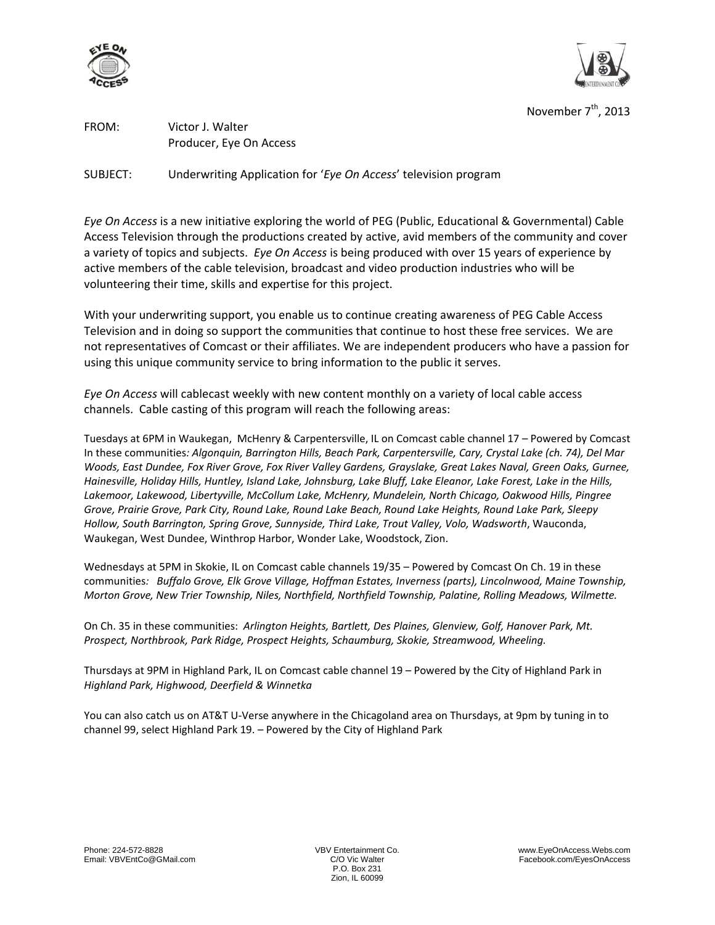



November 7<sup>th</sup>, 2013

FROM: Victor J. Walter Producer, Eye On Access

SUBJECT: Underwriting Application for '*Eye On Access*' television program

*Eye On Access* is a new initiative exploring the world of PEG (Public, Educational & Governmental) Cable Access Television through the productions created by active, avid members of the community and cover a variety of topics and subjects. *Eye On Access* is being produced with over 15 years of experience by active members of the cable television, broadcast and video production industries who will be volunteering their time, skills and expertise for this project.

With your underwriting support, you enable us to continue creating awareness of PEG Cable Access Television and in doing so support the communities that continue to host these free services. We are not representatives of Comcast or their affiliates. We are independent producers who have a passion for using this unique community service to bring information to the public it serves.

*Eye On Access* will cablecast weekly with new content monthly on a variety of local cable access channels. Cable casting of this program will reach the following areas:

Tuesdays at 6PM in [Waukegan,](http://accesschannel.com/channels/waukegan_ch17.html) [McHenry](http://accesschannel.com/channels/mchenry_ch17.html) & [Carpentersville,](http://accesschannel.com/channels/carpentersville_ch17.html) IL on Comcast cable channel 17 – Powered by [Comcast](http://accesschannel.com/) In these communities*: Algonquin, Barrington Hills, Beach Park, Carpentersville, Cary, Crystal Lake (ch. 74), Del Mar Woods, East Dundee, Fox River Grove, Fox River Valley Gardens, Grayslake, Great Lakes Naval, Green Oaks, Gurnee, Hainesville, Holiday Hills, Huntley, Island Lake, Johnsburg, Lake Bluff, Lake Eleanor, Lake Forest, Lake in the Hills, Lakemoor, Lakewood, Libertyville, McCollum Lake, McHenry, Mundelein, North Chicago, Oakwood Hills, Pingree Grove, Prairie Grove, Park City, Round Lake, Round Lake Beach, Round Lake Heights, Round Lake Park, Sleepy Hollow, South Barrington, Spring Grove, Sunnyside, Third Lake, Trout Valley, Volo, Wadsworth*, Wauconda, Waukegan, West Dundee, Winthrop Harbor, Wonder Lake, Woodstock, Zion.

Wednesdays at 5PM i[n Skokie, IL](http://accesschannel.com/channels/skokie_ch19-35.html) on Comcast cable channels [19/35](http://accesschannel.com/channels/skokie_ch19-35.html) – Powered b[y Comcast](http://accesschannel.com/) [On Ch. 19](http://accesschannel.com/channels/skokie_ch19-35.html) in these communities*: Buffalo Grove, Elk Grove Village, Hoffman Estates, Inverness (parts), Lincolnwood, Maine Township, Morton Grove, New Trier Township, Niles, Northfield, Northfield Township, Palatine, Rolling Meadows, Wilmette.*

[On Ch. 35](http://accesschannel.com/channels/skokie_ch19-35.html) in these communities: *Arlington Heights, Bartlett, Des Plaines, Glenview, Golf, Hanover Park, Mt. Prospect, Northbrook, Park Ridge, Prospect Heights, Schaumburg, Skokie, Streamwood, Wheeling.*

Thursdays at 9PM in [Highland Park, IL](http://www.cityhpil.com/publicaccesscenter) on Comcast cable channel 19 – Powered by the [City of Highland Park](http://www.cityhpil.com/publicaccesscenter) in *Highland Park, Highwood, Deerfield & Winnetka*

You can also catch us on [AT&T U-Verse](http://uverseonline.att.net/uverse/peg) anywhere in the Chicagoland area on Thursdays, at 9pm by tuning in to channel 99, select Highland Park 19. – Powered by th[e City of Highland Park](http://www.cityhpil.com/publicaccesscenter)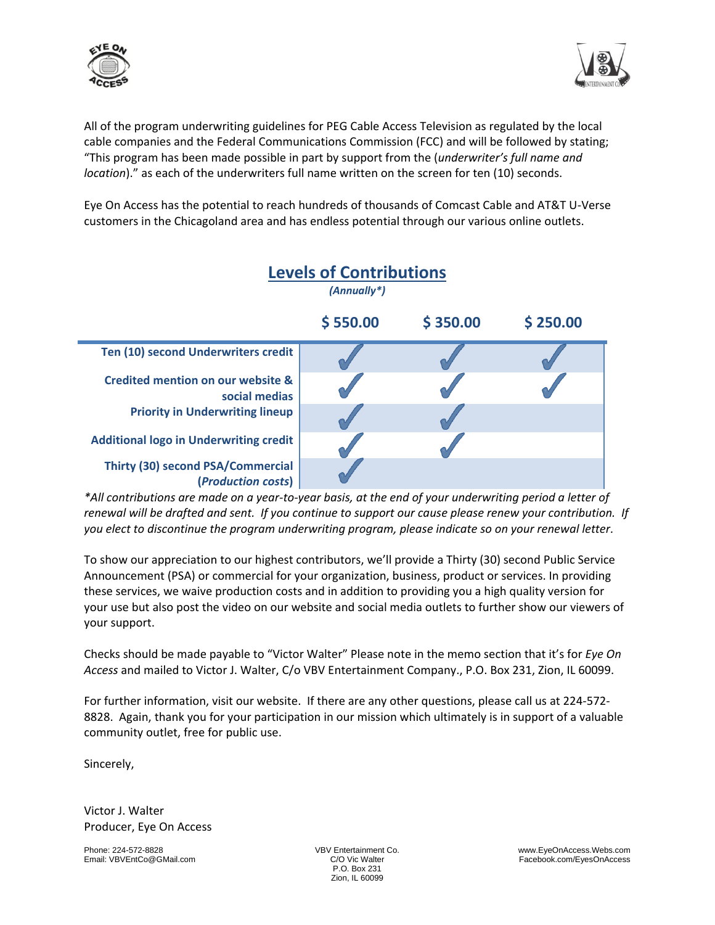



All of the program underwriting guidelines for PEG Cable Access Television as regulated by the local cable companies and the Federal Communications Commission (FCC) and will be followed by stating; "This program has been made possible in part by support from the (*underwriter's full name and location*)." as each of the underwriters full name written on the screen for ten (10) seconds.

Eye On Access has the potential to reach hundreds of thousands of Comcast Cable and AT&T U-Verse customers in the Chicagoland area and has endless potential through our various online outlets.



*\*All contributions are made on a year-to-year basis, at the end of your underwriting period a letter of renewal will be drafted and sent. If you continue to support our cause please renew your contribution. If you elect to discontinue the program underwriting program, please indicate so on your renewal letter.* 

To show our appreciation to our highest contributors, we'll provide a Thirty (30) second Public Service Announcement (PSA) or commercial for your organization, business, product or services. In providing these services, we waive production costs and in addition to providing you a high quality version for your use but also post the video on our website and social media outlets to further show our viewers of your support.

Checks should be made payable to "Victor Walter" Please note in the memo section that it's for *Eye On Access* and mailed to Victor J. Walter, C/o VBV Entertainment Company., P.O. Box 231, Zion, IL 60099.

For further information, visit our website. If there are any other questions, please call us at 224-572- 8828. Again, thank you for your participation in our mission which ultimately is in support of a valuable community outlet, free for public use.

Sincerely,

Victor J. Walter Producer, Eye On Access

P.O. Box 231 Zion, IL 60099